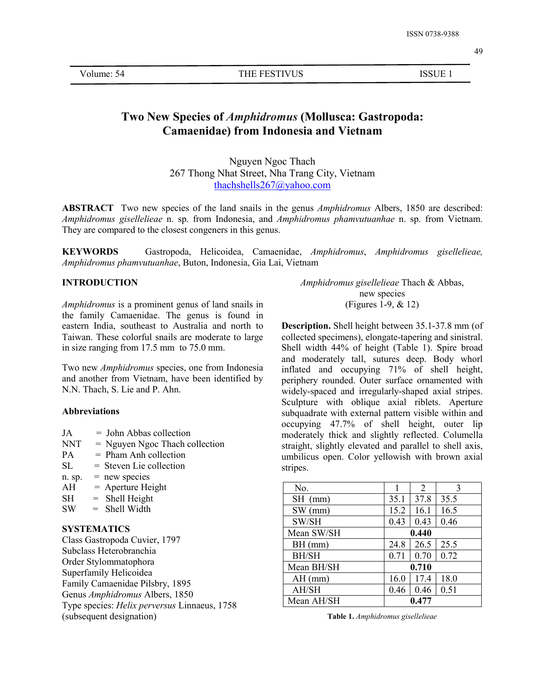Volume: 54 THE FESTIVUS ISSUE 1

# **Two New Species of***Amphidromus* **(Mollusca: Gastropoda: Camaenidae) from Indonesia and Vietnam**

Nguyen Ngoc Thach 267 Thong Nhat Street, Nha Trang City, Vietnam [thachshells267@yahoo.com](mailto:thachshells267@yahoo.com)

**ABSTRACT** Two new species of the land snails in the genus *Amphidromus* Albers, 1850 are described: *Amphidromus gisellelieae* n. sp. from Indonesia, and *Amphidromus phamvutuanhae* n. sp. from Vietnam. They are compared to the closest congeners in this genus.

**KEYWORDS** Gastropoda, Helicoidea, Camaenidae, *Amphidromus*, *Amphidromus gisellelieae, Amphidromus phamvutuanhae*, Buton, Indonesia, Gia Lai, Vietnam

### **INTRODUCTION**

*Amphidromus* is a prominent genus of land snails in the family Camaenidae. The genus is found in eastern India, southeast to Australia and north to Taiwan. These colorful snails are moderate to large in size ranging from 17.5 mm to 75.0 mm.

Two new *Amphidromus* species, one from Indonesia and another from Vietnam, have been identified by N.N. Thach, S. Lie and P. Ahn.

### **Abbreviations**

- $JA = John Abbas collection$
- $NNT = Nguyen Ngoc Thach collection$
- $PA = Pham Anh collection$
- $SL =$  Steven Lie collection
- n. sp.  $=$  new species
- $AH = Aperture Height$
- $SH$  = Shell Height
- $SW = Shell Width$

### **SYSTEMATICS**

Class Gastropoda Cuvier, 1797 Subclass Heterobranchia Order Stylommatophora Superfamily Helicoidea Family Camaenidae Pilsbry, 1895 Genus *Amphidromus* Albers, 1850 Type species: *Helix perversus* Linnaeus, 1758 (subsequent designation)

*Amphidromus gisellelieae* Thach & Abbas, new species (Figures 1-9, & 12)

**Description.** Shell height between 35.1-37.8 mm (of collected specimens), elongate-tapering and sinistral. Shell width 44% of height (Table 1). Spire broad and moderately tall, sutures deep. Body whorl inflated and occupying 71% of shell height, periphery rounded. Outer surface ornamented with widely-spaced and irregularly-shaped axial stripes. Sculpture with oblique axial riblets. Aperture subquadrate with external pattern visible within and occupying 47.7% of shell height, outer lip moderately thick and slightly reflected. Columella straight, slightly elevated and parallel to shell axis, umbilicus open.Color yellowish with brown axial stripes.

| No.          |       | 2     | 3    |
|--------------|-------|-------|------|
| SH<br>(mm)   | 35.1  | 37.8  | 35.5 |
| $SW$ (mm)    | 15.2  | 16.1  | 16.5 |
| SW/SH        | 0.43  | 0.43  | 0.46 |
| Mean SW/SH   | 0.440 |       |      |
| BH (mm)      | 24.8  | 26.5  | 25.5 |
| <b>BH/SH</b> | 0.71  | 0.70  | 0.72 |
| Mean BH/SH   | 0.710 |       |      |
| $AH$ (mm)    | 16.0  | 17.4  | 18.0 |
| AH/SH        | 0.46  | 0.46  | 0.51 |
| Mean AH/SH   |       | 0.477 |      |

**Table 1.** *Amphidromus gisellelieae*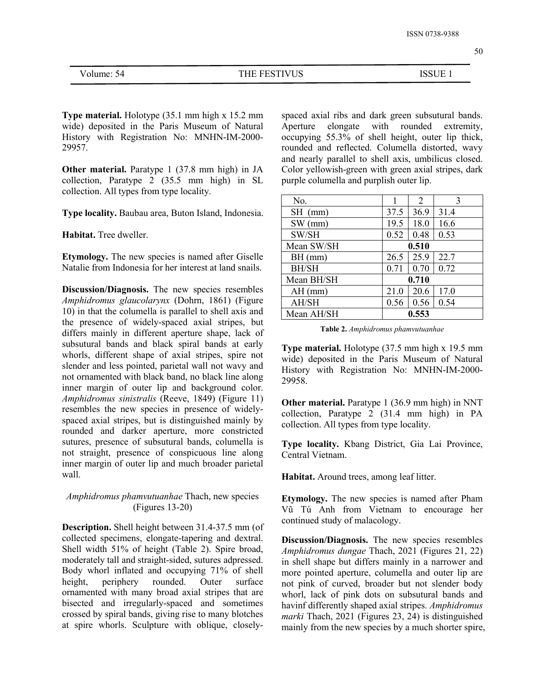| Volume: 54 |  |
|------------|--|
|------------|--|

THE FESTIVUS ISSUE 1

**Type material.** Holotype (35.1 mm high x 15.2 mm wide) deposited in the Paris Museum of Natural History with Registration No: MNHN-IM-2000- 29957.

**Other material.** Paratype 1 (37.8 mm high) in JA collection, Paratype 2 (35.5 mm high) in SL collection. All types from type locality.

**Type locality.** Baubau area, Buton Island, Indonesia.

**Habitat.** Tree dweller.

**Etymology.** The new species is named after Giselle Natalie from Indonesia for her interest at land snails.

**Discussion/Diagnosis.** The new species resembles *Amphidromus glaucolarynx* (Dohrn, 1861) (Figure 10) in that the columella is parallel to shell axis and the presence of widely-spaced axial stripes, but differs mainly in different aperture shape, lack of subsutural bands and black spiral bands at early whorls, different shape of axial stripes, spire not slender and less pointed, parietal wall not wavy and not ornamented with black band, no black line along inner margin of outer lip and background color. *Amphidromus sinistralis* (Reeve, 1849) (Figure 11) resembles the new species in presence of widely spaced axial stripes, but is distinguished mainly by rounded and darker aperture, more constricted sutures, presence of subsutural bands, columella is not straight, presence of conspicuous line along inner margin of outer lip and much broader parietal wall.

## *Amphidromus phamvutuanhae* Thach, new species (Figures 13-20)

**Description.** Shell height between 31.4-37.5 mm (of collected specimens, elongate-tapering and dextral. Shell width 51% of height (Table 2). Spire broad, moderately tall and straight-sided, sutures adpressed. Body whorl inflated and occupying 71% of shell ornamented with many broad axial stripes that are bisected and irregularly-spaced and sometimes crossed by spiral bands, giving rise to many blotches at spire whorls. Sculpture with oblique, closelyspaced axial ribs and dark green subsutural bands. Aperture elongate with rounded extremity, occupying  $55.3\%$  of shell height, outer lip thick, rounded and reflected. Columella distorted, wavy and nearly parallel to shell axis, umbilicus closed. Color yellowish-green with green axial stripes, dark purple columella and purplish outer lip.

| No.          |       | $\overline{2}$ | 3    |
|--------------|-------|----------------|------|
| SH<br>(mm)   | 37.5  | 36.9           | 31.4 |
| SW.<br>(mm)  | 19.5  | 18.0           | 16.6 |
| SW/SH        | 0.52  | 0.48           | 0.53 |
| Mean SW/SH   | 0.510 |                |      |
| BH (mm)      | 26.5  | 25.9           | 22.7 |
| <b>BH/SH</b> | 0.71  | 0.70           | 0.72 |
| Mean BH/SH   | 0.710 |                |      |
| $AH$ (mm)    | 21.0  | 20.6           | 17.0 |
| AH/SH        | 0.56  | 0.56           | 0.54 |
| Mean AH/SH   |       | 0.553          |      |

|  |  | <b>Table 2.</b> Amphidromus phamvutuanhae |  |  |  |  |
|--|--|-------------------------------------------|--|--|--|--|
|--|--|-------------------------------------------|--|--|--|--|

**Type material.** Holotype (37.5 mm high x 19.5 mm wide) deposited in the Paris Museum of Natural History with Registration No: MNHN-IM-2000- 29958.

**Other material.** Paratype 1 (36.9 mm high) in NNT collection, Paratype 2 (31.4 mm high) in PA collection. All types from type locality.

**Type locality.** Kbang District, Gia Lai Province, Central Vietnam.

**Habitat.** Around trees, among leaf litter.

**Etymology.** The new species is named after Pham Vũ Tú Anh from Vietnam to encourage her continued study of malacology.

height, periphery rounded. Outer surface not pink of curved, broader but not slender body **Discussion/Diagnosis.** The new species resembles *Amphidromus dungae* Thach, 2021 (Figures 21, 22) in shell shape but differs mainly in a narrower and more pointed aperture, columella and outer lip are whorl, lack of pink dots on subsutural bands and havinf differently shaped axial stripes. *Amphidromus marki* Thach, 2021 (Figures 23, 24) is distinguished mainly from the new species by a much shorter spire,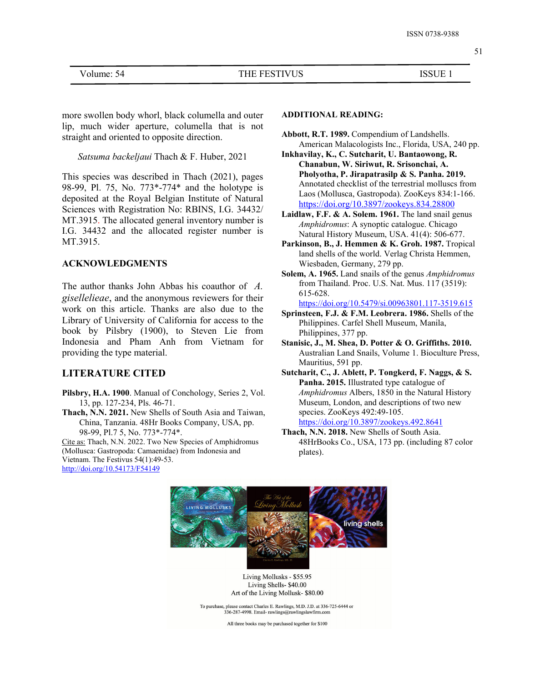more swollen body whorl, black columella and outer lip, much wider aperture, columella that is not straight and oriented to opposite direction.

*Satsuma backeljaui* Thach & F. Huber, 2021

This species was described in Thach (2021), pages 98-99, Pl. 75, No. 773\*-774\* and the holotype is deposited at the Royal Belgian Institute of Natural Sciences with Registration No: RBINS, I.G. 34432/ MT.3915. The allocated general inventory number is I.G. 34432 and the allocated register number is MT.3915.

#### **ACKNOWLEDGMENTS**

The author thanks John Abbas his coauthor of *A. gisellelieae*, and the anonymous reviewers for their work on this article. Thanks are also due to the Library of University of California for access to the book by Pilsbry (1900), to Steven Lie from Indonesia and Pham Anh from Vietnam for providing the type material.

### **LITERATURE CITED**

- **Pilsbry, H.A. 1900**. Manual of Conchology, Series 2, Vol. 13, pp. 127-234, Pls. 46-71.
- **Thach, N.N. 2021.** New Shells of South Asia and Taiwan, China, Tanzania. 48Hr Books Company, USA, pp. 98-99, Pl.7 5, No. 773\*-774\*.

Cite as: Thach, N.N. 2022. Two New Species of Amphidromus (Mollusca: Gastropoda: Camaenidae) from Indonesia and Vietnam. The Festivus 54(1):49-53. <http://doi.org/10.54173/F54149>

### **ADDITIONAL READING:**

- **Abbott, R.T. 1989.** Compendium of Landshells. American Malacologists Inc., Florida, USA, 240 pp.
- **Inkhavilay, K., C. Sutcharit, U. Bantaowong, R. Chanabun, W. Siriwut, R. Srisonchai, A. Pholyotha, P. Jirapatrasilp & S. Panha. 2019.** Annotated checklist of the terrestrial molluscs from Laos (Mollusca, Gastropoda). ZooKeys 834:1-166. <https://doi.org/10.3897/zookeys.834.28800>
- **Laidlaw, F.F. & A. Solem. 1961.** The land snail genus *Amphidromus*: A synoptic catalogue. Chicago Natural History Museum, USA. 41(4): 506-677.
- **Parkinson, B., J. Hemmen & K. Groh. 1987.** Tropical land shells of the world. Verlag Christa Hemmen, Wiesbaden, Germany, 279 pp.
- **Solem, A. 1965.** Land snails of the genus *Amphidromus* from Thailand. Proc. U.S. Nat. Mus. 117 (3519): 615-628.

<https://doi.org/10.5479/si.00963801.117-3519.615>

- **Sprinsteen, F.J. & F.M. Leobrera. 1986.** Shells of the Philippines. Carfel Shell Museum, Manila, Philippines, 377 pp.
- **Stanisic, J., M. Shea, D. Potter & O. Griffiths. 2010.** Australian Land Snails, Volume 1. Bioculture Press, Mauritius, 591 pp.
- **Sutcharit, C., J. Ablett, P. Tongkerd, F. Naggs, & S. Panha. 2015.** Illustrated type catalogue of *Amphidromus* Albers, 1850 in the Natural History Museum, London, and descriptions of two new species. ZooKeys 492:49-105. <https://doi.org/10.3897/zookeys.492.8641>
- **Thach, N.N. 2018.** New Shells of South Asia. 48HrBooks Co., USA, 173 pp. (including 87 color plates).



51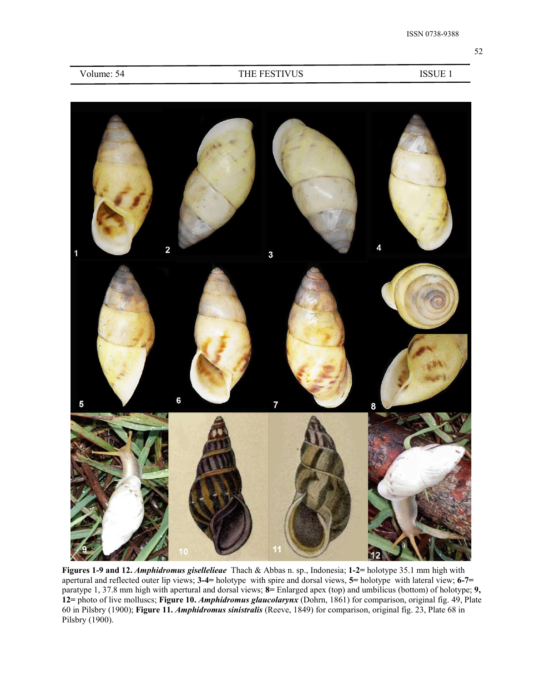| Volume: 54 |  |
|------------|--|
|------------|--|

### THE FESTIVUS ISSUE 1



**Figures 1-9 and 12.** *Amphidromus gisellelieae* Thach & Abbas n. sp.,Indonesia; **1-2=** holotype 35.1 mm high with apertural and reflected outer lip views; **3-4=** holotype with spire and dorsal views, **5=** holotype with lateral view; **6-7=** paratype 1, 37.8 mm high with apertural and dorsal views; **8=** Enlarged apex (top) and umbilicus (bottom) of holotype; **9, 12=** photo of live molluscs; **Figure 10.** *Amphidromus glaucolarynx* (Dohrn, 1861) for comparison, original fig. 49, Plate 60 in Pilsbry (1900); **Figure 11.** *Amphidromus sinistralis* (Reeve, 1849) for comparison, original fig. 23, Plate 68 in Pilsbry (1900).